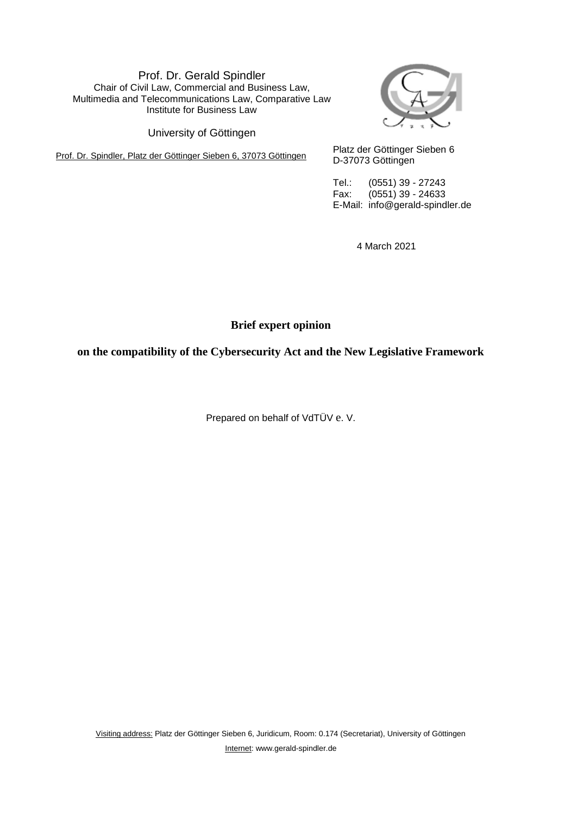Prof. Dr. Gerald Spindler Chair of Civil Law, Commercial and Business Law, Multimedia and Telecommunications Law, Comparative Law Institute for Business Law

University of Göttingen

Prof. Dr. Spindler, Platz der Göttinger Sieben 6, 37073 Göttingen Platz der Göttinger Sieben 6



D-37073 Göttingen

Tel.: (0551) 39 - 27243 Fax: (0551) 39 - 24633 E-Mail: info@gerald-spindler.de

4 March 2021

**Brief expert opinion**

**on the compatibility of the Cybersecurity Act and the New Legislative Framework**

Prepared on behalf of VdTÜV e. V.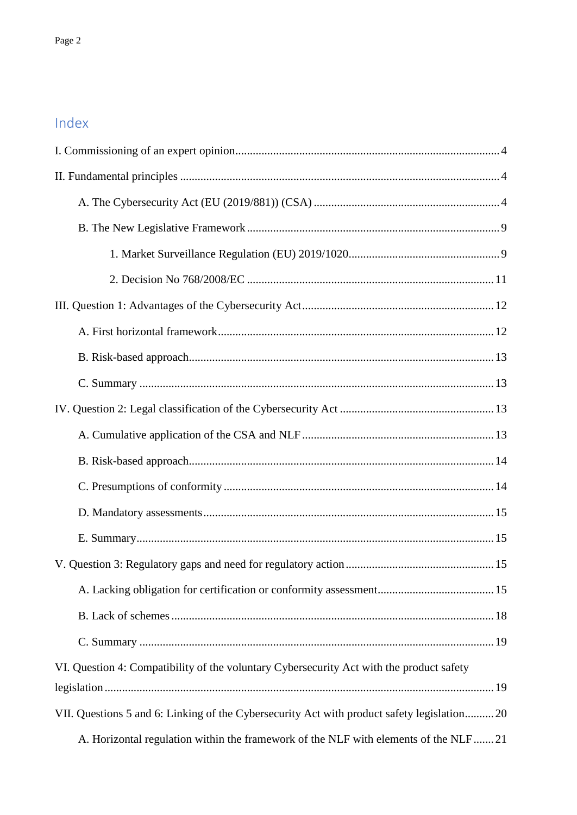# Index

| VI. Question 4: Compatibility of the voluntary Cybersecurity Act with the product safety   |
|--------------------------------------------------------------------------------------------|
|                                                                                            |
| VII. Questions 5 and 6: Linking of the Cybersecurity Act with product safety legislation20 |
| A. Horizontal regulation within the framework of the NLF with elements of the NLF21        |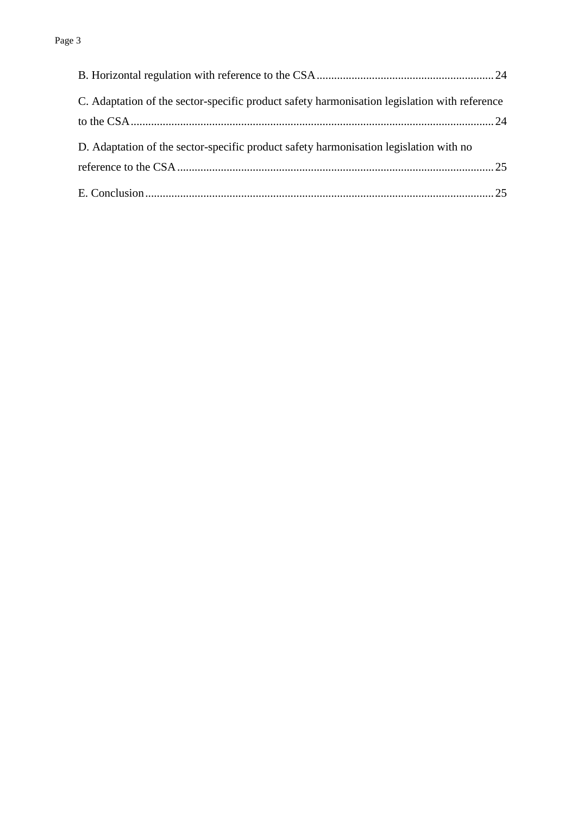| C. Adaptation of the sector-specific product safety harmonisation legislation with reference |  |
|----------------------------------------------------------------------------------------------|--|
|                                                                                              |  |
| D. Adaptation of the sector-specific product safety harmonisation legislation with no        |  |
|                                                                                              |  |
|                                                                                              |  |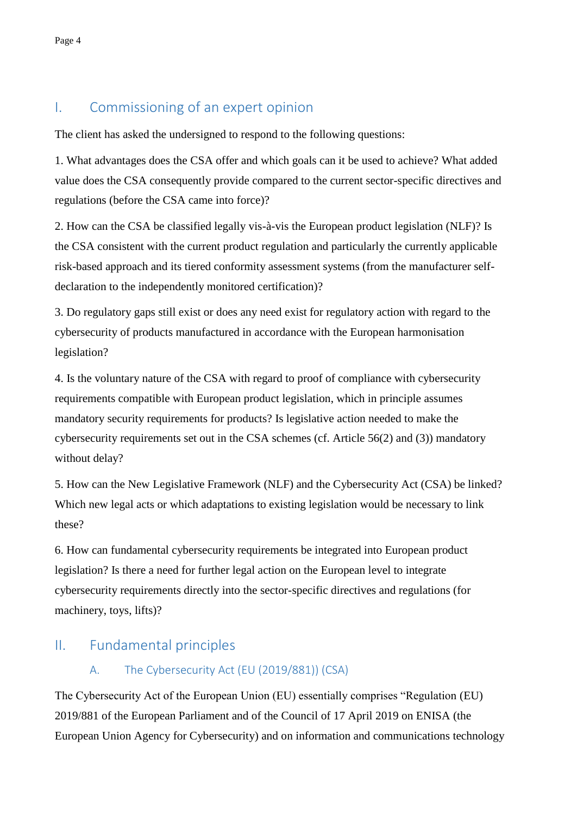# I. Commissioning of an expert opinion

The client has asked the undersigned to respond to the following questions:

1. What advantages does the CSA offer and which goals can it be used to achieve? What added value does the CSA consequently provide compared to the current sector-specific directives and regulations (before the CSA came into force)?

2. How can the CSA be classified legally vis-à-vis the European product legislation (NLF)? Is the CSA consistent with the current product regulation and particularly the currently applicable risk-based approach and its tiered conformity assessment systems (from the manufacturer selfdeclaration to the independently monitored certification)?

3. Do regulatory gaps still exist or does any need exist for regulatory action with regard to the cybersecurity of products manufactured in accordance with the European harmonisation legislation?

4. Is the voluntary nature of the CSA with regard to proof of compliance with cybersecurity requirements compatible with European product legislation, which in principle assumes mandatory security requirements for products? Is legislative action needed to make the cybersecurity requirements set out in the CSA schemes (cf. Article 56(2) and (3)) mandatory without delay?

5. How can the New Legislative Framework (NLF) and the Cybersecurity Act (CSA) be linked? Which new legal acts or which adaptations to existing legislation would be necessary to link these?

6. How can fundamental cybersecurity requirements be integrated into European product legislation? Is there a need for further legal action on the European level to integrate cybersecurity requirements directly into the sector-specific directives and regulations (for machinery, toys, lifts)?

# II. Fundamental principles

## A. The Cybersecurity Act (EU (2019/881)) (CSA)

The Cybersecurity Act of the European Union (EU) essentially comprises "Regulation (EU) 2019/881 of the European Parliament and of the Council of 17 April 2019 on ENISA (the European Union Agency for Cybersecurity) and on information and communications technology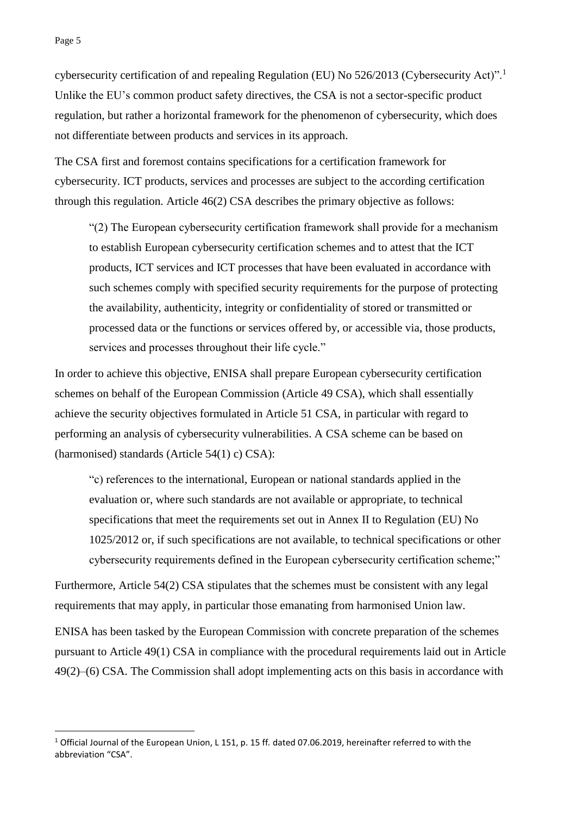-

cybersecurity certification of and repealing Regulation (EU) No 526/2013 (Cybersecurity Act)".<sup>1</sup> Unlike the EU's common product safety directives, the CSA is not a sector-specific product regulation, but rather a horizontal framework for the phenomenon of cybersecurity, which does not differentiate between products and services in its approach.

The CSA first and foremost contains specifications for a certification framework for cybersecurity. ICT products, services and processes are subject to the according certification through this regulation. Article 46(2) CSA describes the primary objective as follows:

"(2) The European cybersecurity certification framework shall provide for a mechanism to establish European cybersecurity certification schemes and to attest that the ICT products, ICT services and ICT processes that have been evaluated in accordance with such schemes comply with specified security requirements for the purpose of protecting the availability, authenticity, integrity or confidentiality of stored or transmitted or processed data or the functions or services offered by, or accessible via, those products, services and processes throughout their life cycle."

In order to achieve this objective, ENISA shall prepare European cybersecurity certification schemes on behalf of the European Commission (Article 49 CSA), which shall essentially achieve the security objectives formulated in Article 51 CSA, in particular with regard to performing an analysis of cybersecurity vulnerabilities. A CSA scheme can be based on (harmonised) standards (Article 54(1) c) CSA):

"c) references to the international, European or national standards applied in the evaluation or, where such standards are not available or appropriate, to technical specifications that meet the requirements set out in Annex II to Regulation (EU) No 1025/2012 or, if such specifications are not available, to technical specifications or other cybersecurity requirements defined in the European cybersecurity certification scheme;"

Furthermore, Article 54(2) CSA stipulates that the schemes must be consistent with any legal requirements that may apply, in particular those emanating from harmonised Union law.

ENISA has been tasked by the European Commission with concrete preparation of the schemes pursuant to Article 49(1) CSA in compliance with the procedural requirements laid out in Article 49(2)–(6) CSA. The Commission shall adopt implementing acts on this basis in accordance with

<sup>1</sup> Official Journal of the European Union, L 151, p. 15 ff*.* dated 07.06.2019, hereinafter referred to with the abbreviation "CSA".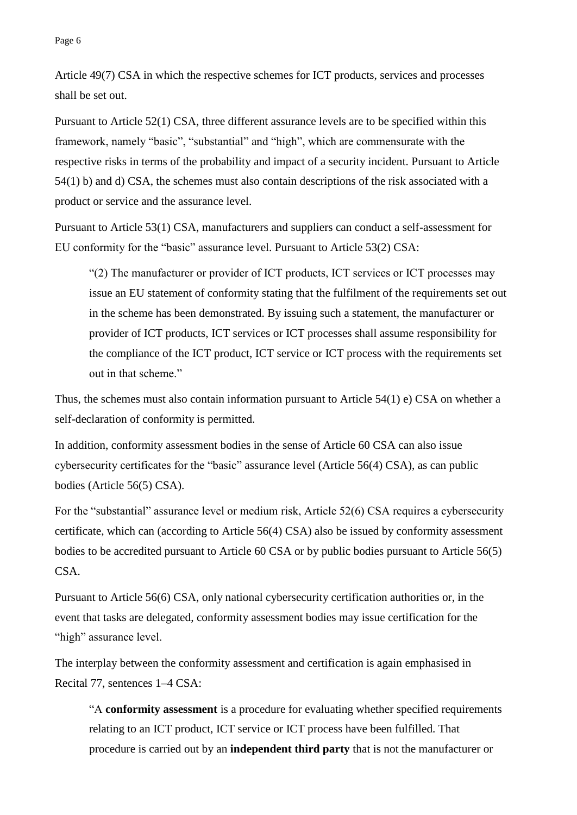Article 49(7) CSA in which the respective schemes for ICT products, services and processes shall be set out.

Pursuant to Article 52(1) CSA, three different assurance levels are to be specified within this framework, namely "basic", "substantial" and "high", which are commensurate with the respective risks in terms of the probability and impact of a security incident. Pursuant to Article 54(1) b) and d) CSA, the schemes must also contain descriptions of the risk associated with a product or service and the assurance level.

Pursuant to Article 53(1) CSA, manufacturers and suppliers can conduct a self-assessment for EU conformity for the "basic" assurance level. Pursuant to Article 53(2) CSA:

"(2) The manufacturer or provider of ICT products, ICT services or ICT processes may issue an EU statement of conformity stating that the fulfilment of the requirements set out in the scheme has been demonstrated. By issuing such a statement, the manufacturer or provider of ICT products, ICT services or ICT processes shall assume responsibility for the compliance of the ICT product, ICT service or ICT process with the requirements set out in that scheme."

Thus, the schemes must also contain information pursuant to Article 54(1) e) CSA on whether a self-declaration of conformity is permitted.

In addition, conformity assessment bodies in the sense of Article 60 CSA can also issue cybersecurity certificates for the "basic" assurance level (Article 56(4) CSA), as can public bodies (Article 56(5) CSA).

For the "substantial" assurance level or medium risk, Article 52(6) CSA requires a cybersecurity certificate, which can (according to Article 56(4) CSA) also be issued by conformity assessment bodies to be accredited pursuant to Article 60 CSA or by public bodies pursuant to Article 56(5) CSA.

Pursuant to Article 56(6) CSA, only national cybersecurity certification authorities or, in the event that tasks are delegated, conformity assessment bodies may issue certification for the "high" assurance level.

The interplay between the conformity assessment and certification is again emphasised in Recital 77, sentences 1–4 CSA:

"A **conformity assessment** is a procedure for evaluating whether specified requirements relating to an ICT product, ICT service or ICT process have been fulfilled. That procedure is carried out by an **independent third party** that is not the manufacturer or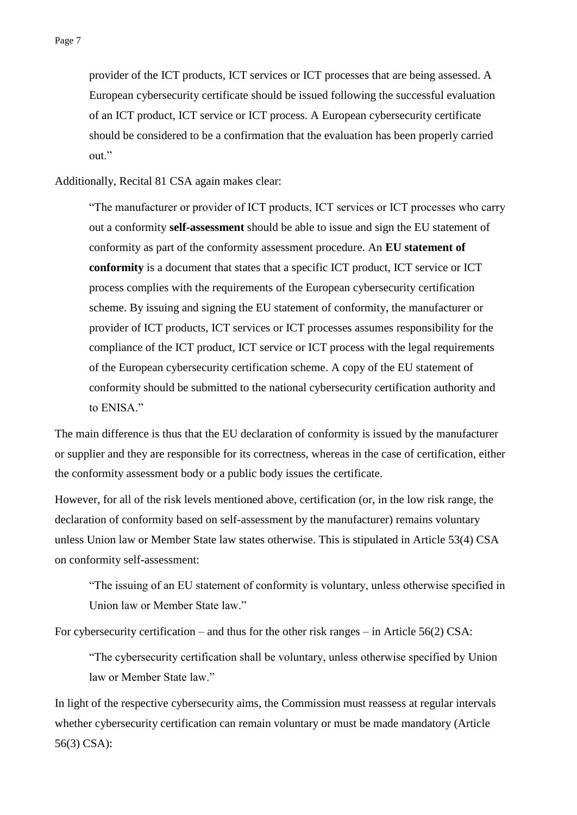provider of the ICT products, ICT services or ICT processes that are being assessed. A European cybersecurity certificate should be issued following the successful evaluation of an ICT product, ICT service or ICT process. A European cybersecurity certificate should be considered to be a confirmation that the evaluation has been properly carried out."

Additionally, Recital 81 CSA again makes clear:

"The manufacturer or provider of ICT products, ICT services or ICT processes who carry out a conformity **self-assessment** should be able to issue and sign the EU statement of conformity as part of the conformity assessment procedure. An **EU statement of conformity** is a document that states that a specific ICT product, ICT service or ICT process complies with the requirements of the European cybersecurity certification scheme. By issuing and signing the EU statement of conformity, the manufacturer or provider of ICT products, ICT services or ICT processes assumes responsibility for the compliance of the ICT product, ICT service or ICT process with the legal requirements of the European cybersecurity certification scheme. A copy of the EU statement of conformity should be submitted to the national cybersecurity certification authority and to ENISA."

The main difference is thus that the EU declaration of conformity is issued by the manufacturer or supplier and they are responsible for its correctness, whereas in the case of certification, either the conformity assessment body or a public body issues the certificate.

However, for all of the risk levels mentioned above, certification (or, in the low risk range, the declaration of conformity based on self-assessment by the manufacturer) remains voluntary unless Union law or Member State law states otherwise. This is stipulated in Article 53(4) CSA on conformity self-assessment:

"The issuing of an EU statement of conformity is voluntary, unless otherwise specified in Union law or Member State law."

For cybersecurity certification – and thus for the other risk ranges – in Article 56(2) CSA:

"The cybersecurity certification shall be voluntary, unless otherwise specified by Union law or Member State law."

In light of the respective cybersecurity aims, the Commission must reassess at regular intervals whether cybersecurity certification can remain voluntary or must be made mandatory (Article 56(3) CSA):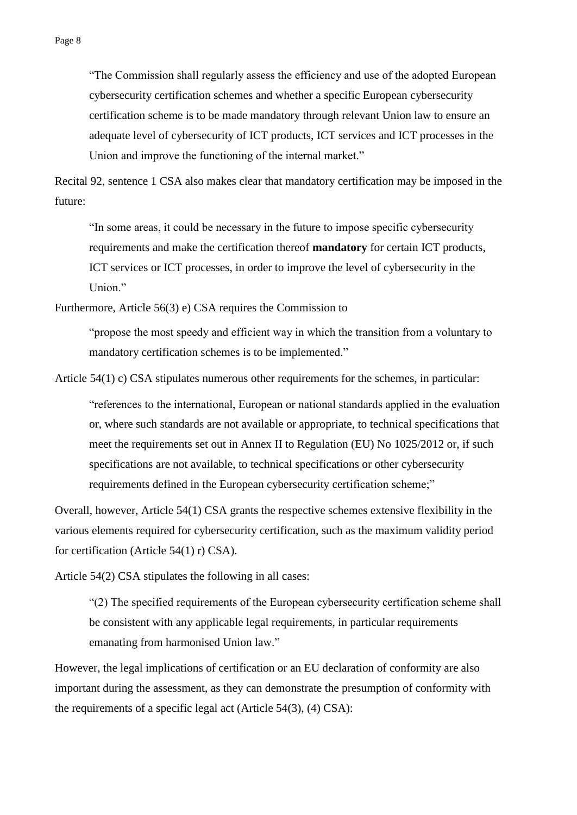"The Commission shall regularly assess the efficiency and use of the adopted European cybersecurity certification schemes and whether a specific European cybersecurity certification scheme is to be made mandatory through relevant Union law to ensure an adequate level of cybersecurity of ICT products, ICT services and ICT processes in the Union and improve the functioning of the internal market."

Recital 92, sentence 1 CSA also makes clear that mandatory certification may be imposed in the future:

"In some areas, it could be necessary in the future to impose specific cybersecurity requirements and make the certification thereof **mandatory** for certain ICT products, ICT services or ICT processes, in order to improve the level of cybersecurity in the Union."

Furthermore, Article 56(3) e) CSA requires the Commission to

"propose the most speedy and efficient way in which the transition from a voluntary to mandatory certification schemes is to be implemented."

Article 54(1) c) CSA stipulates numerous other requirements for the schemes, in particular:

"references to the international, European or national standards applied in the evaluation or, where such standards are not available or appropriate, to technical specifications that meet the requirements set out in Annex II to Regulation (EU) No 1025/2012 or, if such specifications are not available, to technical specifications or other cybersecurity requirements defined in the European cybersecurity certification scheme;"

Overall, however, Article 54(1) CSA grants the respective schemes extensive flexibility in the various elements required for cybersecurity certification, such as the maximum validity period for certification (Article 54(1) r) CSA).

Article 54(2) CSA stipulates the following in all cases:

"(2) The specified requirements of the European cybersecurity certification scheme shall be consistent with any applicable legal requirements, in particular requirements emanating from harmonised Union law."

However, the legal implications of certification or an EU declaration of conformity are also important during the assessment, as they can demonstrate the presumption of conformity with the requirements of a specific legal act (Article 54(3), (4) CSA):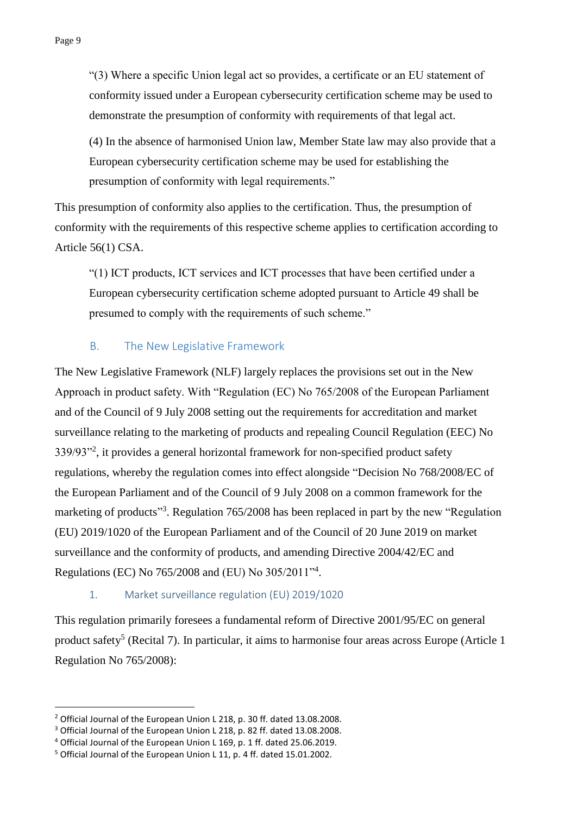"(3) Where a specific Union legal act so provides, a certificate or an EU statement of conformity issued under a European cybersecurity certification scheme may be used to demonstrate the presumption of conformity with requirements of that legal act.

(4) In the absence of harmonised Union law, Member State law may also provide that a European cybersecurity certification scheme may be used for establishing the presumption of conformity with legal requirements."

This presumption of conformity also applies to the certification. Thus, the presumption of conformity with the requirements of this respective scheme applies to certification according to Article 56(1) CSA.

"(1) ICT products, ICT services and ICT processes that have been certified under a European cybersecurity certification scheme adopted pursuant to Article 49 shall be presumed to comply with the requirements of such scheme."

### B. The New Legislative Framework

The New Legislative Framework (NLF) largely replaces the provisions set out in the New Approach in product safety. With "Regulation (EC) No 765/2008 of the European Parliament and of the Council of 9 July 2008 setting out the requirements for accreditation and market surveillance relating to the marketing of products and repealing Council Regulation (EEC) No 339/93<sup>3</sup>, it provides a general horizontal framework for non-specified product safety regulations, whereby the regulation comes into effect alongside "Decision No 768/2008/EC of the European Parliament and of the Council of 9 July 2008 on a common framework for the marketing of products<sup>33</sup>. Regulation 765/2008 has been replaced in part by the new "Regulation" (EU) 2019/1020 of the European Parliament and of the Council of 20 June 2019 on market surveillance and the conformity of products, and amending Directive 2004/42/EC and Regulations (EC) No 765/2008 and (EU) No 305/2011"<sup>4</sup> .

#### 1. Market surveillance regulation (EU) 2019/1020

This regulation primarily foresees a fundamental reform of Directive 2001/95/EC on general product safety<sup>5</sup> (Recital 7). In particular, it aims to harmonise four areas across Europe (Article 1 Regulation No 765/2008):

-

<sup>2</sup> Official Journal of the European Union L 218, p. 30 ff. dated 13.08.2008.

<sup>3</sup> Official Journal of the European Union L 218, p. 82 ff. dated 13.08.2008.

<sup>4</sup> Official Journal of the European Union L 169, p. 1 ff. dated 25.06.2019.

<sup>5</sup> Official Journal of the European Union L 11, p. 4 ff. dated 15.01.2002.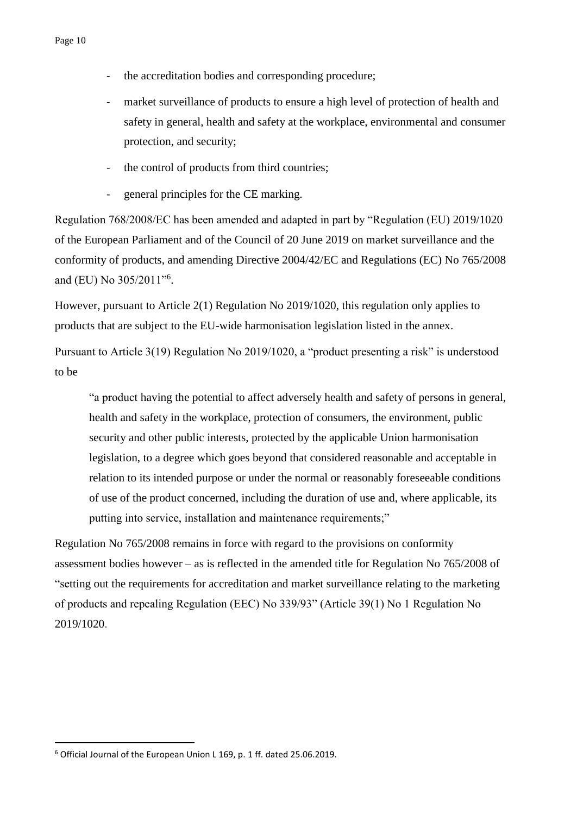- the accreditation bodies and corresponding procedure;
- market surveillance of products to ensure a high level of protection of health and safety in general, health and safety at the workplace, environmental and consumer protection, and security;
- the control of products from third countries;
- general principles for the CE marking.

Regulation 768/2008/EC has been amended and adapted in part by "Regulation (EU) 2019/1020 of the European Parliament and of the Council of 20 June 2019 on market surveillance and the conformity of products, and amending Directive 2004/42/EC and Regulations (EC) No 765/2008 and (EU) No 305/2011"<sup>6</sup>.

However, pursuant to Article 2(1) Regulation No 2019/1020, this regulation only applies to products that are subject to the EU-wide harmonisation legislation listed in the annex.

Pursuant to Article 3(19) Regulation No 2019/1020, a "product presenting a risk" is understood to be

"a product having the potential to affect adversely health and safety of persons in general, health and safety in the workplace, protection of consumers, the environment, public security and other public interests, protected by the applicable Union harmonisation legislation, to a degree which goes beyond that considered reasonable and acceptable in relation to its intended purpose or under the normal or reasonably foreseeable conditions of use of the product concerned, including the duration of use and, where applicable, its putting into service, installation and maintenance requirements;"

Regulation No 765/2008 remains in force with regard to the provisions on conformity assessment bodies however – as is reflected in the amended title for Regulation No 765/2008 of "setting out the requirements for accreditation and market surveillance relating to the marketing of products and repealing Regulation (EEC) No 339/93" (Article 39(1) No 1 Regulation No 2019/1020.

<u>.</u>

<sup>6</sup> Official Journal of the European Union L 169, p. 1 ff. dated 25.06.2019.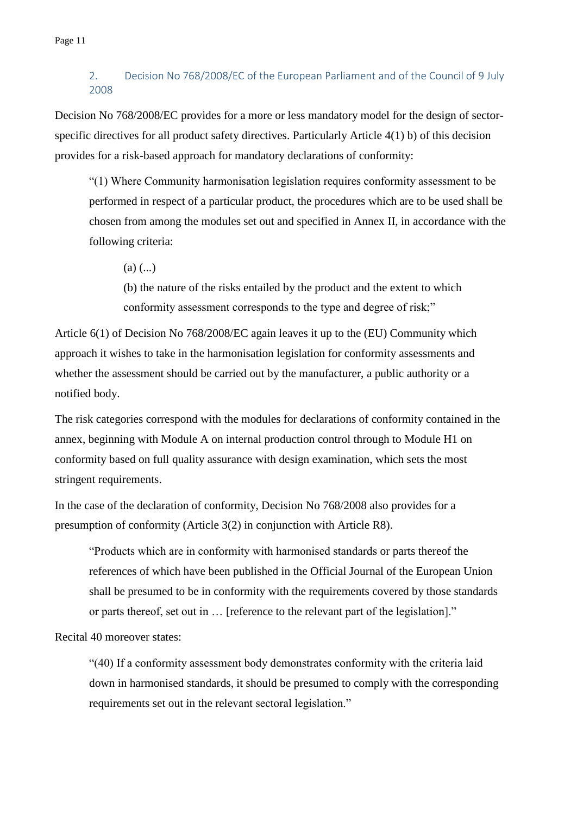#### 2. Decision No 768/2008/EC of the European Parliament and of the Council of 9 July 2008

Decision No 768/2008/EC provides for a more or less mandatory model for the design of sectorspecific directives for all product safety directives. Particularly Article 4(1) b) of this decision provides for a risk-based approach for mandatory declarations of conformity:

"(1) Where Community harmonisation legislation requires conformity assessment to be performed in respect of a particular product, the procedures which are to be used shall be chosen from among the modules set out and specified in Annex II, in accordance with the following criteria:

 $(a)$  (...)

(b) the nature of the risks entailed by the product and the extent to which conformity assessment corresponds to the type and degree of risk;"

Article 6(1) of Decision No 768/2008/EC again leaves it up to the (EU) Community which approach it wishes to take in the harmonisation legislation for conformity assessments and whether the assessment should be carried out by the manufacturer, a public authority or a notified body.

The risk categories correspond with the modules for declarations of conformity contained in the annex, beginning with Module A on internal production control through to Module H1 on conformity based on full quality assurance with design examination, which sets the most stringent requirements.

In the case of the declaration of conformity, Decision No 768/2008 also provides for a presumption of conformity (Article 3(2) in conjunction with Article R8).

"Products which are in conformity with harmonised standards or parts thereof the references of which have been published in the Official Journal of the European Union shall be presumed to be in conformity with the requirements covered by those standards or parts thereof, set out in … [reference to the relevant part of the legislation]."

Recital 40 moreover states:

"(40) If a conformity assessment body demonstrates conformity with the criteria laid down in harmonised standards, it should be presumed to comply with the corresponding requirements set out in the relevant sectoral legislation."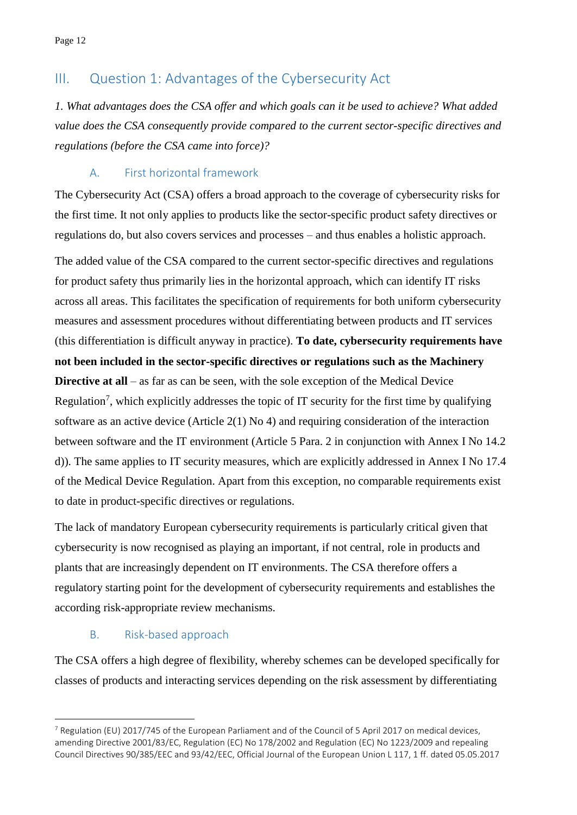# III. Question 1: Advantages of the Cybersecurity Act

*1. What advantages does the CSA offer and which goals can it be used to achieve? What added value does the CSA consequently provide compared to the current sector-specific directives and regulations (before the CSA came into force)?*

### A. First horizontal framework

The Cybersecurity Act (CSA) offers a broad approach to the coverage of cybersecurity risks for the first time. It not only applies to products like the sector-specific product safety directives or regulations do, but also covers services and processes – and thus enables a holistic approach.

The added value of the CSA compared to the current sector-specific directives and regulations for product safety thus primarily lies in the horizontal approach, which can identify IT risks across all areas. This facilitates the specification of requirements for both uniform cybersecurity measures and assessment procedures without differentiating between products and IT services (this differentiation is difficult anyway in practice). **To date, cybersecurity requirements have not been included in the sector-specific directives or regulations such as the Machinery Directive at all** – as far as can be seen, with the sole exception of the Medical Device Regulation<sup>7</sup>, which explicitly addresses the topic of IT security for the first time by qualifying software as an active device (Article  $2(1)$  No 4) and requiring consideration of the interaction between software and the IT environment (Article 5 Para. 2 in conjunction with Annex I No 14.2 d)). The same applies to IT security measures, which are explicitly addressed in Annex I No 17.4 of the Medical Device Regulation. Apart from this exception, no comparable requirements exist to date in product-specific directives or regulations.

The lack of mandatory European cybersecurity requirements is particularly critical given that cybersecurity is now recognised as playing an important, if not central, role in products and plants that are increasingly dependent on IT environments. The CSA therefore offers a regulatory starting point for the development of cybersecurity requirements and establishes the according risk-appropriate review mechanisms.

### B. Risk-based approach

<u>.</u>

The CSA offers a high degree of flexibility, whereby schemes can be developed specifically for classes of products and interacting services depending on the risk assessment by differentiating

 $7$  Regulation (EU) 2017/745 of the European Parliament and of the Council of 5 April 2017 on medical devices, amending Directive 2001/83/EC, Regulation (EC) No 178/2002 and Regulation (EC) No 1223/2009 and repealing Council Directives 90/385/EEC and 93/42/EEC, Official Journal of the European Union L 117, 1 ff. dated 05.05.2017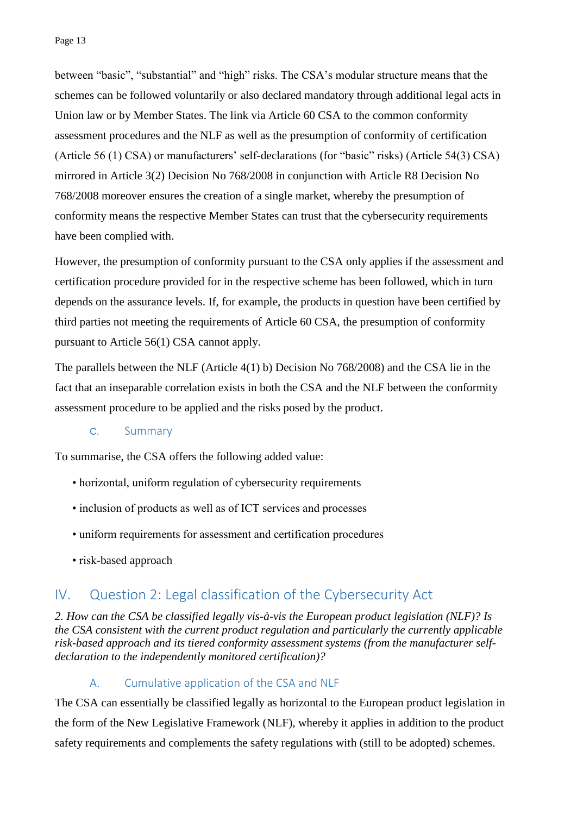between "basic", "substantial" and "high" risks. The CSA's modular structure means that the schemes can be followed voluntarily or also declared mandatory through additional legal acts in Union law or by Member States. The link via Article 60 CSA to the common conformity assessment procedures and the NLF as well as the presumption of conformity of certification (Article 56 (1) CSA) or manufacturers' self-declarations (for "basic" risks) (Article 54(3) CSA) mirrored in Article 3(2) Decision No 768/2008 in conjunction with Article R8 Decision No 768/2008 moreover ensures the creation of a single market, whereby the presumption of conformity means the respective Member States can trust that the cybersecurity requirements have been complied with.

However, the presumption of conformity pursuant to the CSA only applies if the assessment and certification procedure provided for in the respective scheme has been followed, which in turn depends on the assurance levels. If, for example, the products in question have been certified by third parties not meeting the requirements of Article 60 CSA, the presumption of conformity pursuant to Article 56(1) CSA cannot apply.

The parallels between the NLF (Article 4(1) b) Decision No 768/2008) and the CSA lie in the fact that an inseparable correlation exists in both the CSA and the NLF between the conformity assessment procedure to be applied and the risks posed by the product.

#### C. Summary

To summarise, the CSA offers the following added value:

- horizontal, uniform regulation of cybersecurity requirements
- inclusion of products as well as of ICT services and processes
- uniform requirements for assessment and certification procedures
- risk-based approach

## IV. Question 2: Legal classification of the Cybersecurity Act

*2. How can the CSA be classified legally vis-à-vis the European product legislation (NLF)? Is the CSA consistent with the current product regulation and particularly the currently applicable risk-based approach and its tiered conformity assessment systems (from the manufacturer selfdeclaration to the independently monitored certification)?*

#### A. Cumulative application of the CSA and NLF

The CSA can essentially be classified legally as horizontal to the European product legislation in the form of the New Legislative Framework (NLF), whereby it applies in addition to the product safety requirements and complements the safety regulations with (still to be adopted) schemes.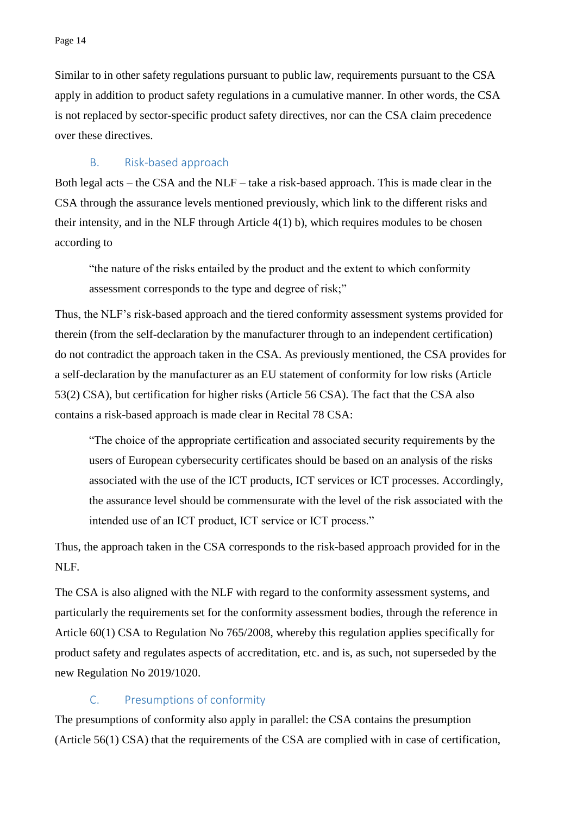Similar to in other safety regulations pursuant to public law, requirements pursuant to the CSA apply in addition to product safety regulations in a cumulative manner. In other words, the CSA is not replaced by sector-specific product safety directives, nor can the CSA claim precedence over these directives.

#### B. Risk-based approach

Both legal acts – the CSA and the NLF – take a risk-based approach. This is made clear in the CSA through the assurance levels mentioned previously, which link to the different risks and their intensity, and in the NLF through Article 4(1) b), which requires modules to be chosen according to

"the nature of the risks entailed by the product and the extent to which conformity assessment corresponds to the type and degree of risk;"

Thus, the NLF's risk-based approach and the tiered conformity assessment systems provided for therein (from the self-declaration by the manufacturer through to an independent certification) do not contradict the approach taken in the CSA. As previously mentioned, the CSA provides for a self-declaration by the manufacturer as an EU statement of conformity for low risks (Article 53(2) CSA), but certification for higher risks (Article 56 CSA). The fact that the CSA also contains a risk-based approach is made clear in Recital 78 CSA:

"The choice of the appropriate certification and associated security requirements by the users of European cybersecurity certificates should be based on an analysis of the risks associated with the use of the ICT products, ICT services or ICT processes. Accordingly, the assurance level should be commensurate with the level of the risk associated with the intended use of an ICT product, ICT service or ICT process."

Thus, the approach taken in the CSA corresponds to the risk-based approach provided for in the NLF.

The CSA is also aligned with the NLF with regard to the conformity assessment systems, and particularly the requirements set for the conformity assessment bodies, through the reference in Article 60(1) CSA to Regulation No 765/2008, whereby this regulation applies specifically for product safety and regulates aspects of accreditation, etc. and is, as such, not superseded by the new Regulation No 2019/1020.

#### C. Presumptions of conformity

The presumptions of conformity also apply in parallel: the CSA contains the presumption (Article 56(1) CSA) that the requirements of the CSA are complied with in case of certification,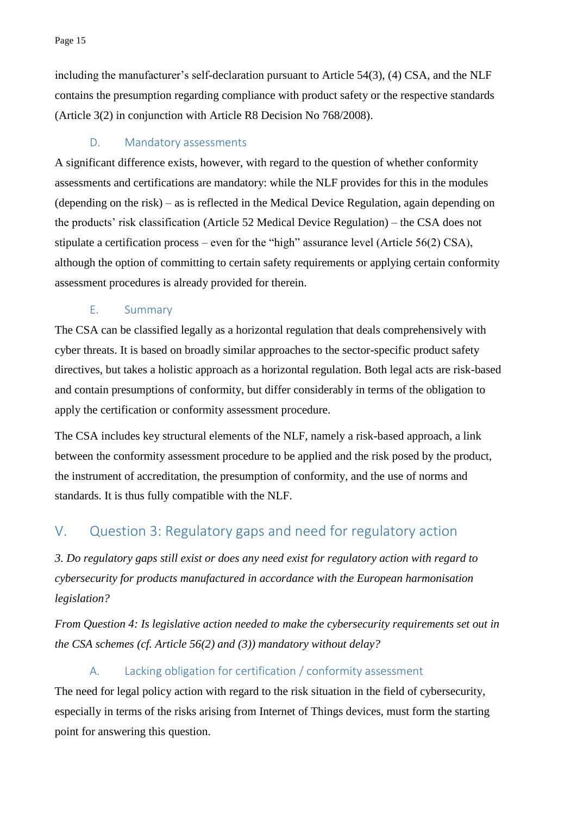including the manufacturer's self-declaration pursuant to Article 54(3), (4) CSA, and the NLF contains the presumption regarding compliance with product safety or the respective standards (Article 3(2) in conjunction with Article R8 Decision No 768/2008).

### D. Mandatory assessments

A significant difference exists, however, with regard to the question of whether conformity assessments and certifications are mandatory: while the NLF provides for this in the modules (depending on the risk) – as is reflected in the Medical Device Regulation, again depending on the products' risk classification (Article 52 Medical Device Regulation) – the CSA does not stipulate a certification process – even for the "high" assurance level (Article 56(2) CSA), although the option of committing to certain safety requirements or applying certain conformity assessment procedures is already provided for therein.

#### E. Summary

The CSA can be classified legally as a horizontal regulation that deals comprehensively with cyber threats. It is based on broadly similar approaches to the sector-specific product safety directives, but takes a holistic approach as a horizontal regulation. Both legal acts are risk-based and contain presumptions of conformity, but differ considerably in terms of the obligation to apply the certification or conformity assessment procedure.

The CSA includes key structural elements of the NLF, namely a risk-based approach, a link between the conformity assessment procedure to be applied and the risk posed by the product, the instrument of accreditation, the presumption of conformity, and the use of norms and standards. It is thus fully compatible with the NLF.

# V. Question 3: Regulatory gaps and need for regulatory action

*3. Do regulatory gaps still exist or does any need exist for regulatory action with regard to cybersecurity for products manufactured in accordance with the European harmonisation legislation?*

*From Question 4: Is legislative action needed to make the cybersecurity requirements set out in the CSA schemes (cf. Article 56(2) and (3)) mandatory without delay?*

## A. Lacking obligation for certification / conformity assessment

The need for legal policy action with regard to the risk situation in the field of cybersecurity, especially in terms of the risks arising from Internet of Things devices, must form the starting point for answering this question.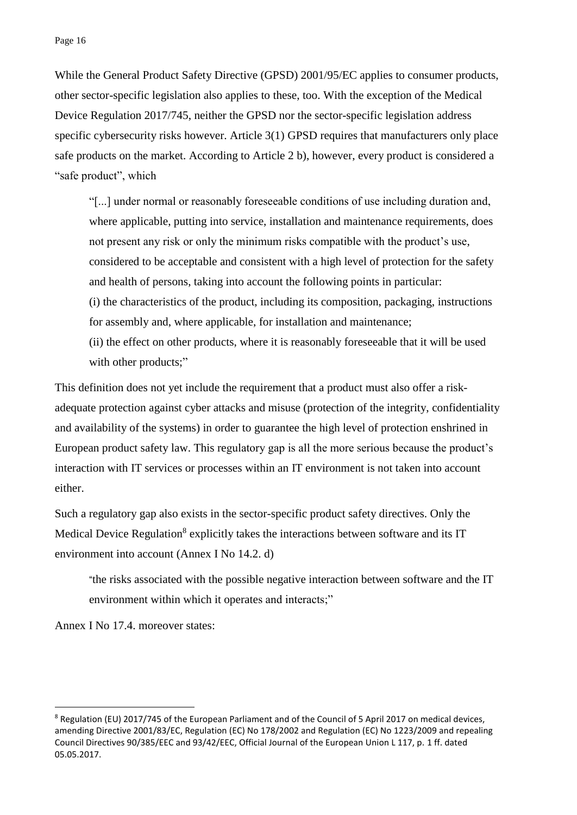While the General Product Safety Directive (GPSD) 2001/95/EC applies to consumer products, other sector-specific legislation also applies to these, too. With the exception of the Medical Device Regulation 2017/745, neither the GPSD nor the sector-specific legislation address specific cybersecurity risks however. Article 3(1) GPSD requires that manufacturers only place safe products on the market. According to Article 2 b), however, every product is considered a "safe product", which

"[...] under normal or reasonably foreseeable conditions of use including duration and, where applicable, putting into service, installation and maintenance requirements, does not present any risk or only the minimum risks compatible with the product's use, considered to be acceptable and consistent with a high level of protection for the safety and health of persons, taking into account the following points in particular: (i) the characteristics of the product, including its composition, packaging, instructions for assembly and, where applicable, for installation and maintenance; (ii) the effect on other products, where it is reasonably foreseeable that it will be used with other products;"

This definition does not yet include the requirement that a product must also offer a riskadequate protection against cyber attacks and misuse (protection of the integrity, confidentiality and availability of the systems) in order to guarantee the high level of protection enshrined in European product safety law. This regulatory gap is all the more serious because the product's interaction with IT services or processes within an IT environment is not taken into account either.

Such a regulatory gap also exists in the sector-specific product safety directives. Only the Medical Device Regulation<sup>8</sup> explicitly takes the interactions between software and its IT environment into account (Annex I No 14.2. d)

"the risks associated with the possible negative interaction between software and the IT environment within which it operates and interacts;"

Annex I No 17.4. moreover states:

<u>.</u>

<sup>8</sup> Regulation (EU) 2017/745 of the European Parliament and of the Council of 5 April 2017 on medical devices, amending Directive 2001/83/EC, Regulation (EC) No 178/2002 and Regulation (EC) No 1223/2009 and repealing Council Directives 90/385/EEC and 93/42/EEC, Official Journal of the European Union L 117, p. 1 ff. dated 05.05.2017.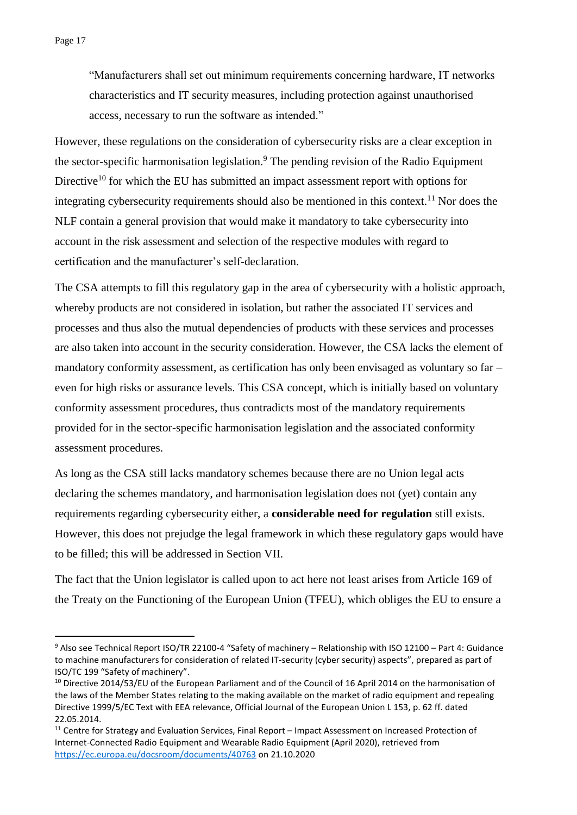<u>.</u>

"Manufacturers shall set out minimum requirements concerning hardware, IT networks characteristics and IT security measures, including protection against unauthorised access, necessary to run the software as intended."

However, these regulations on the consideration of cybersecurity risks are a clear exception in the sector-specific harmonisation legislation.<sup>9</sup> The pending revision of the Radio Equipment Directive<sup>10</sup> for which the EU has submitted an impact assessment report with options for integrating cybersecurity requirements should also be mentioned in this context.<sup>11</sup> Nor does the NLF contain a general provision that would make it mandatory to take cybersecurity into account in the risk assessment and selection of the respective modules with regard to certification and the manufacturer's self-declaration.

The CSA attempts to fill this regulatory gap in the area of cybersecurity with a holistic approach, whereby products are not considered in isolation, but rather the associated IT services and processes and thus also the mutual dependencies of products with these services and processes are also taken into account in the security consideration. However, the CSA lacks the element of mandatory conformity assessment, as certification has only been envisaged as voluntary so far – even for high risks or assurance levels. This CSA concept, which is initially based on voluntary conformity assessment procedures, thus contradicts most of the mandatory requirements provided for in the sector-specific harmonisation legislation and the associated conformity assessment procedures.

As long as the CSA still lacks mandatory schemes because there are no Union legal acts declaring the schemes mandatory, and harmonisation legislation does not (yet) contain any requirements regarding cybersecurity either, a **considerable need for regulation** still exists. However, this does not prejudge the legal framework in which these regulatory gaps would have to be filled; this will be addressed in Section VII.

The fact that the Union legislator is called upon to act here not least arises from Article 169 of the Treaty on the Functioning of the European Union (TFEU), which obliges the EU to ensure a

<sup>9</sup> Also see Technical Report ISO/TR 22100-4 "Safety of machinery – Relationship with ISO 12100 – Part 4: Guidance to machine manufacturers for consideration of related IT-security (cyber security) aspects", prepared as part of ISO/TC 199 "Safety of machinery".

<sup>&</sup>lt;sup>10</sup> Directive 2014/53/EU of the European Parliament and of the Council of 16 April 2014 on the harmonisation of the laws of the Member States relating to the making available on the market of radio equipment and repealing Directive 1999/5/EC Text with EEA relevance, Official Journal of the European Union L 153, p. 62 ff. dated 22.05.2014.

<sup>11</sup> Centre for Strategy and Evaluation Services, Final Report – Impact Assessment on Increased Protection of Internet-Connected Radio Equipment and Wearable Radio Equipment (April 2020), retrieved from <https://ec.europa.eu/docsroom/documents/40763> on 21.10.2020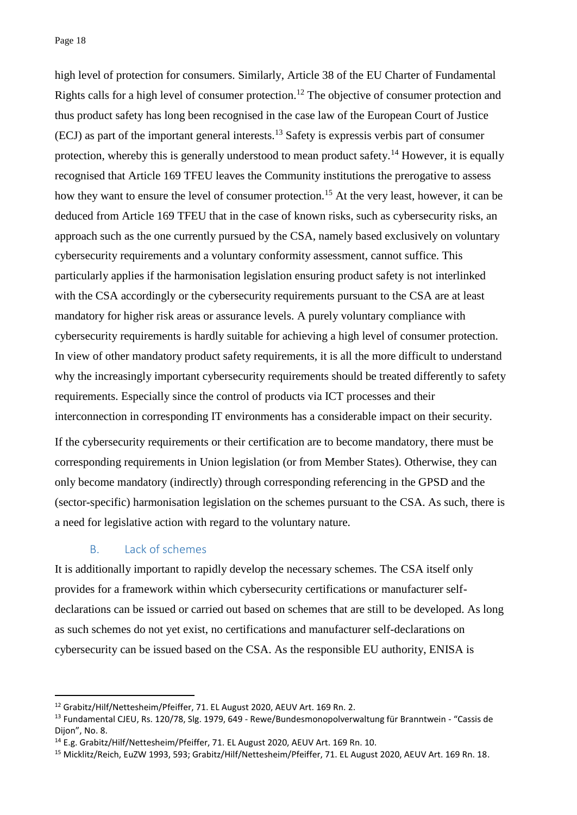Page 18

high level of protection for consumers. Similarly, Article 38 of the EU Charter of Fundamental Rights calls for a high level of consumer protection.<sup>12</sup> The objective of consumer protection and thus product safety has long been recognised in the case law of the European Court of Justice (ECJ) as part of the important general interests.<sup>13</sup> Safety is expressis verbis part of consumer protection, whereby this is generally understood to mean product safety.<sup>14</sup> However, it is equally recognised that Article 169 TFEU leaves the Community institutions the prerogative to assess how they want to ensure the level of consumer protection.<sup>15</sup> At the very least, however, it can be deduced from Article 169 TFEU that in the case of known risks, such as cybersecurity risks, an approach such as the one currently pursued by the CSA, namely based exclusively on voluntary cybersecurity requirements and a voluntary conformity assessment, cannot suffice. This particularly applies if the harmonisation legislation ensuring product safety is not interlinked with the CSA accordingly or the cybersecurity requirements pursuant to the CSA are at least mandatory for higher risk areas or assurance levels. A purely voluntary compliance with cybersecurity requirements is hardly suitable for achieving a high level of consumer protection. In view of other mandatory product safety requirements, it is all the more difficult to understand why the increasingly important cybersecurity requirements should be treated differently to safety requirements. Especially since the control of products via ICT processes and their interconnection in corresponding IT environments has a considerable impact on their security.

If the cybersecurity requirements or their certification are to become mandatory, there must be corresponding requirements in Union legislation (or from Member States). Otherwise, they can only become mandatory (indirectly) through corresponding referencing in the GPSD and the (sector-specific) harmonisation legislation on the schemes pursuant to the CSA. As such, there is a need for legislative action with regard to the voluntary nature.

#### B. Lack of schemes

<u>.</u>

It is additionally important to rapidly develop the necessary schemes. The CSA itself only provides for a framework within which cybersecurity certifications or manufacturer selfdeclarations can be issued or carried out based on schemes that are still to be developed. As long as such schemes do not yet exist, no certifications and manufacturer self-declarations on cybersecurity can be issued based on the CSA. As the responsible EU authority, ENISA is

<sup>&</sup>lt;sup>12</sup> Grabitz/Hilf/Nettesheim/Pfeiffer, 71. EL August 2020, AEUV Art. 169 Rn. 2.

<sup>13</sup> Fundamental CJEU, Rs. 120/78, Slg. 1979, 649 - Rewe/Bundesmonopolverwaltung für Branntwein - "Cassis de Dijon", No. 8.

<sup>14</sup> E.g. Grabitz/Hilf/Nettesheim/Pfeiffer, 71. EL August 2020, AEUV Art. 169 Rn. 10.

<sup>15</sup> Micklitz/Reich, EuZW 1993, 593; Grabitz/Hilf/Nettesheim/Pfeiffer, 71. EL August 2020, AEUV Art. 169 Rn. 18.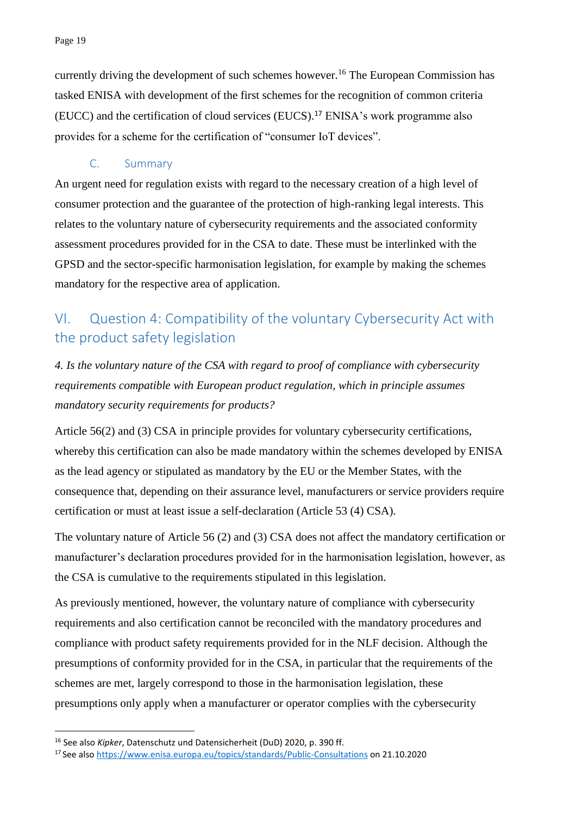currently driving the development of such schemes however.<sup>16</sup> The European Commission has tasked ENISA with development of the first schemes for the recognition of common criteria (EUCC) and the certification of cloud services (EUCS).<sup>17</sup> ENISA's work programme also provides for a scheme for the certification of "consumer IoT devices".

### C. Summary

An urgent need for regulation exists with regard to the necessary creation of a high level of consumer protection and the guarantee of the protection of high-ranking legal interests. This relates to the voluntary nature of cybersecurity requirements and the associated conformity assessment procedures provided for in the CSA to date. These must be interlinked with the GPSD and the sector-specific harmonisation legislation, for example by making the schemes mandatory for the respective area of application.

# VI. Question 4: Compatibility of the voluntary Cybersecurity Act with the product safety legislation

*4. Is the voluntary nature of the CSA with regard to proof of compliance with cybersecurity requirements compatible with European product regulation, which in principle assumes mandatory security requirements for products?*

Article 56(2) and (3) CSA in principle provides for voluntary cybersecurity certifications, whereby this certification can also be made mandatory within the schemes developed by ENISA as the lead agency or stipulated as mandatory by the EU or the Member States, with the consequence that, depending on their assurance level, manufacturers or service providers require certification or must at least issue a self-declaration (Article 53 (4) CSA).

The voluntary nature of Article 56 (2) and (3) CSA does not affect the mandatory certification or manufacturer's declaration procedures provided for in the harmonisation legislation, however, as the CSA is cumulative to the requirements stipulated in this legislation.

As previously mentioned, however, the voluntary nature of compliance with cybersecurity requirements and also certification cannot be reconciled with the mandatory procedures and compliance with product safety requirements provided for in the NLF decision. Although the presumptions of conformity provided for in the CSA, in particular that the requirements of the schemes are met, largely correspond to those in the harmonisation legislation, these presumptions only apply when a manufacturer or operator complies with the cybersecurity

<u>.</u>

<sup>16</sup> See also *Kipker*, Datenschutz und Datensicherheit (DuD) 2020, p. 390 ff.

<sup>17</sup> See also<https://www.enisa.europa.eu/topics/standards/Public-Consultations> on 21.10.2020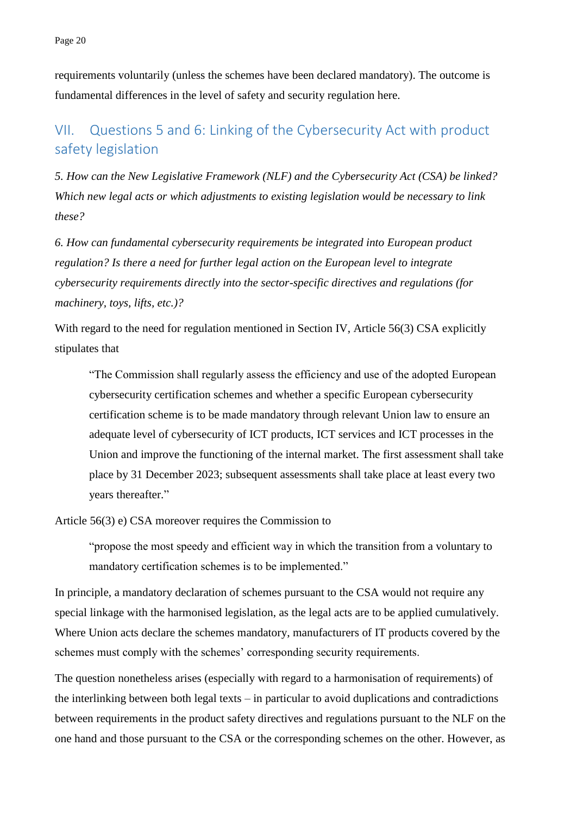requirements voluntarily (unless the schemes have been declared mandatory). The outcome is fundamental differences in the level of safety and security regulation here.

# VII. Questions 5 and 6: Linking of the Cybersecurity Act with product safety legislation

*5. How can the New Legislative Framework (NLF) and the Cybersecurity Act (CSA) be linked? Which new legal acts or which adjustments to existing legislation would be necessary to link these?*

*6. How can fundamental cybersecurity requirements be integrated into European product regulation? Is there a need for further legal action on the European level to integrate cybersecurity requirements directly into the sector-specific directives and regulations (for machinery, toys, lifts, etc.)?*

With regard to the need for regulation mentioned in Section IV, Article 56(3) CSA explicitly stipulates that

"The Commission shall regularly assess the efficiency and use of the adopted European cybersecurity certification schemes and whether a specific European cybersecurity certification scheme is to be made mandatory through relevant Union law to ensure an adequate level of cybersecurity of ICT products, ICT services and ICT processes in the Union and improve the functioning of the internal market. The first assessment shall take place by 31 December 2023; subsequent assessments shall take place at least every two years thereafter."

Article 56(3) e) CSA moreover requires the Commission to

"propose the most speedy and efficient way in which the transition from a voluntary to mandatory certification schemes is to be implemented."

In principle, a mandatory declaration of schemes pursuant to the CSA would not require any special linkage with the harmonised legislation, as the legal acts are to be applied cumulatively. Where Union acts declare the schemes mandatory, manufacturers of IT products covered by the schemes must comply with the schemes' corresponding security requirements.

The question nonetheless arises (especially with regard to a harmonisation of requirements) of the interlinking between both legal texts – in particular to avoid duplications and contradictions between requirements in the product safety directives and regulations pursuant to the NLF on the one hand and those pursuant to the CSA or the corresponding schemes on the other. However, as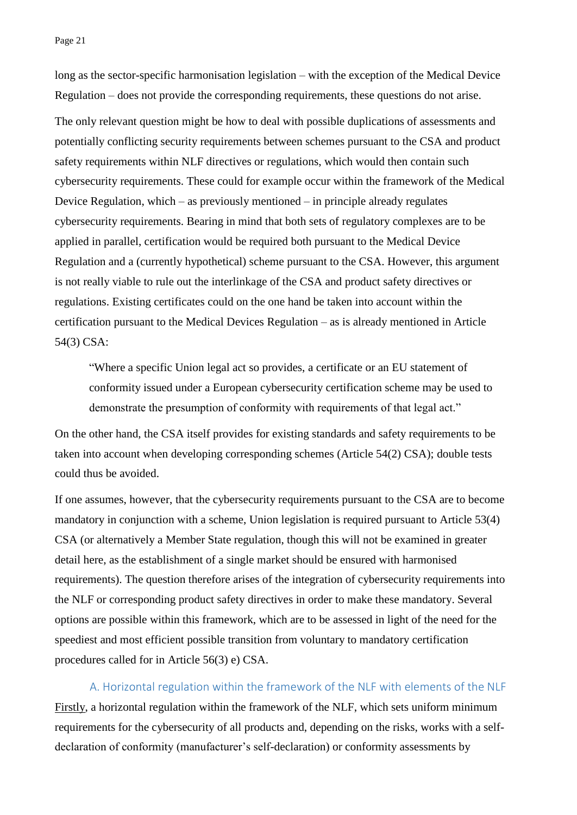Page 21

long as the sector-specific harmonisation legislation – with the exception of the Medical Device Regulation – does not provide the corresponding requirements, these questions do not arise. The only relevant question might be how to deal with possible duplications of assessments and potentially conflicting security requirements between schemes pursuant to the CSA and product safety requirements within NLF directives or regulations, which would then contain such cybersecurity requirements. These could for example occur within the framework of the Medical Device Regulation, which – as previously mentioned – in principle already regulates cybersecurity requirements. Bearing in mind that both sets of regulatory complexes are to be applied in parallel, certification would be required both pursuant to the Medical Device Regulation and a (currently hypothetical) scheme pursuant to the CSA. However, this argument is not really viable to rule out the interlinkage of the CSA and product safety directives or regulations. Existing certificates could on the one hand be taken into account within the certification pursuant to the Medical Devices Regulation – as is already mentioned in Article 54(3) CSA:

"Where a specific Union legal act so provides, a certificate or an EU statement of conformity issued under a European cybersecurity certification scheme may be used to demonstrate the presumption of conformity with requirements of that legal act."

On the other hand, the CSA itself provides for existing standards and safety requirements to be taken into account when developing corresponding schemes (Article 54(2) CSA); double tests could thus be avoided.

If one assumes, however, that the cybersecurity requirements pursuant to the CSA are to become mandatory in conjunction with a scheme, Union legislation is required pursuant to Article 53(4) CSA (or alternatively a Member State regulation, though this will not be examined in greater detail here, as the establishment of a single market should be ensured with harmonised requirements). The question therefore arises of the integration of cybersecurity requirements into the NLF or corresponding product safety directives in order to make these mandatory. Several options are possible within this framework, which are to be assessed in light of the need for the speediest and most efficient possible transition from voluntary to mandatory certification procedures called for in Article 56(3) e) CSA.

A. Horizontal regulation within the framework of the NLF with elements of the NLF Firstly, a horizontal regulation within the framework of the NLF, which sets uniform minimum requirements for the cybersecurity of all products and, depending on the risks, works with a selfdeclaration of conformity (manufacturer's self-declaration) or conformity assessments by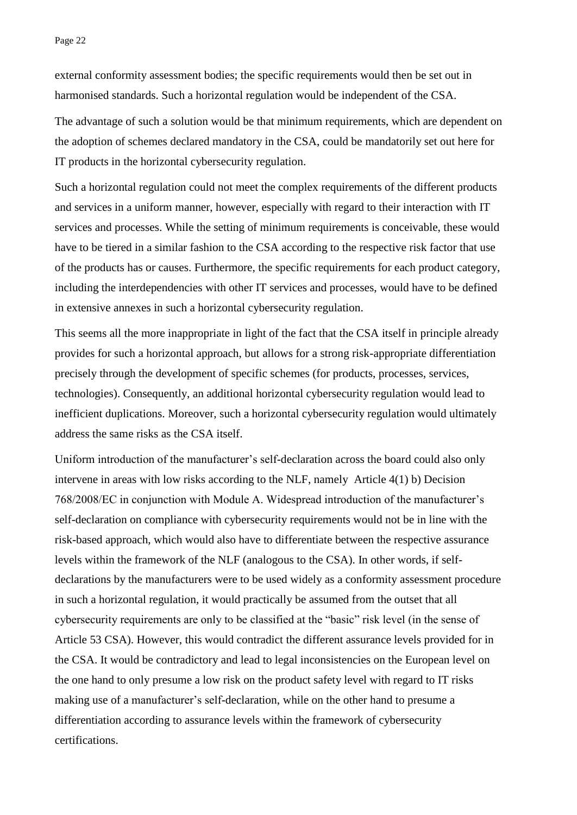external conformity assessment bodies; the specific requirements would then be set out in harmonised standards. Such a horizontal regulation would be independent of the CSA.

The advantage of such a solution would be that minimum requirements, which are dependent on the adoption of schemes declared mandatory in the CSA, could be mandatorily set out here for IT products in the horizontal cybersecurity regulation.

Such a horizontal regulation could not meet the complex requirements of the different products and services in a uniform manner, however, especially with regard to their interaction with IT services and processes. While the setting of minimum requirements is conceivable, these would have to be tiered in a similar fashion to the CSA according to the respective risk factor that use of the products has or causes. Furthermore, the specific requirements for each product category, including the interdependencies with other IT services and processes, would have to be defined in extensive annexes in such a horizontal cybersecurity regulation.

This seems all the more inappropriate in light of the fact that the CSA itself in principle already provides for such a horizontal approach, but allows for a strong risk-appropriate differentiation precisely through the development of specific schemes (for products, processes, services, technologies). Consequently, an additional horizontal cybersecurity regulation would lead to inefficient duplications. Moreover, such a horizontal cybersecurity regulation would ultimately address the same risks as the CSA itself.

Uniform introduction of the manufacturer's self-declaration across the board could also only intervene in areas with low risks according to the NLF, namely Article 4(1) b) Decision 768/2008/EC in conjunction with Module A. Widespread introduction of the manufacturer's self-declaration on compliance with cybersecurity requirements would not be in line with the risk-based approach, which would also have to differentiate between the respective assurance levels within the framework of the NLF (analogous to the CSA). In other words, if selfdeclarations by the manufacturers were to be used widely as a conformity assessment procedure in such a horizontal regulation, it would practically be assumed from the outset that all cybersecurity requirements are only to be classified at the "basic" risk level (in the sense of Article 53 CSA). However, this would contradict the different assurance levels provided for in the CSA. It would be contradictory and lead to legal inconsistencies on the European level on the one hand to only presume a low risk on the product safety level with regard to IT risks making use of a manufacturer's self-declaration, while on the other hand to presume a differentiation according to assurance levels within the framework of cybersecurity certifications.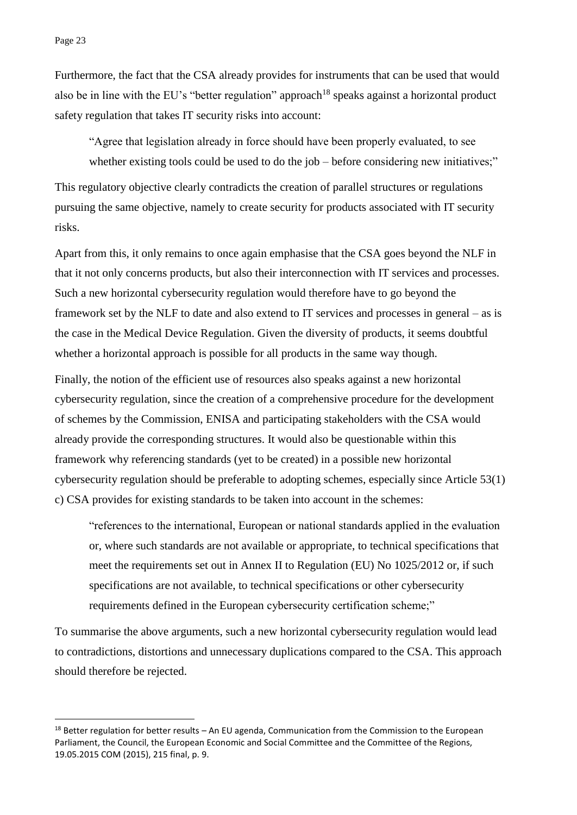<u>.</u>

Furthermore, the fact that the CSA already provides for instruments that can be used that would also be in line with the EU's "better regulation" approach<sup>18</sup> speaks against a horizontal product safety regulation that takes IT security risks into account:

"Agree that legislation already in force should have been properly evaluated, to see whether existing tools could be used to do the job – before considering new initiatives;" This regulatory objective clearly contradicts the creation of parallel structures or regulations pursuing the same objective, namely to create security for products associated with IT security risks.

Apart from this, it only remains to once again emphasise that the CSA goes beyond the NLF in that it not only concerns products, but also their interconnection with IT services and processes. Such a new horizontal cybersecurity regulation would therefore have to go beyond the framework set by the NLF to date and also extend to IT services and processes in general – as is the case in the Medical Device Regulation. Given the diversity of products, it seems doubtful whether a horizontal approach is possible for all products in the same way though.

Finally, the notion of the efficient use of resources also speaks against a new horizontal cybersecurity regulation, since the creation of a comprehensive procedure for the development of schemes by the Commission, ENISA and participating stakeholders with the CSA would already provide the corresponding structures. It would also be questionable within this framework why referencing standards (yet to be created) in a possible new horizontal cybersecurity regulation should be preferable to adopting schemes, especially since Article 53(1) c) CSA provides for existing standards to be taken into account in the schemes:

"references to the international, European or national standards applied in the evaluation or, where such standards are not available or appropriate, to technical specifications that meet the requirements set out in Annex II to Regulation (EU) No 1025/2012 or, if such specifications are not available, to technical specifications or other cybersecurity requirements defined in the European cybersecurity certification scheme;"

To summarise the above arguments, such a new horizontal cybersecurity regulation would lead to contradictions, distortions and unnecessary duplications compared to the CSA. This approach should therefore be rejected.

 $18$  Better regulation for better results – An EU agenda, Communication from the Commission to the European Parliament, the Council, the European Economic and Social Committee and the Committee of the Regions, 19.05.2015 COM (2015), 215 final, p. 9.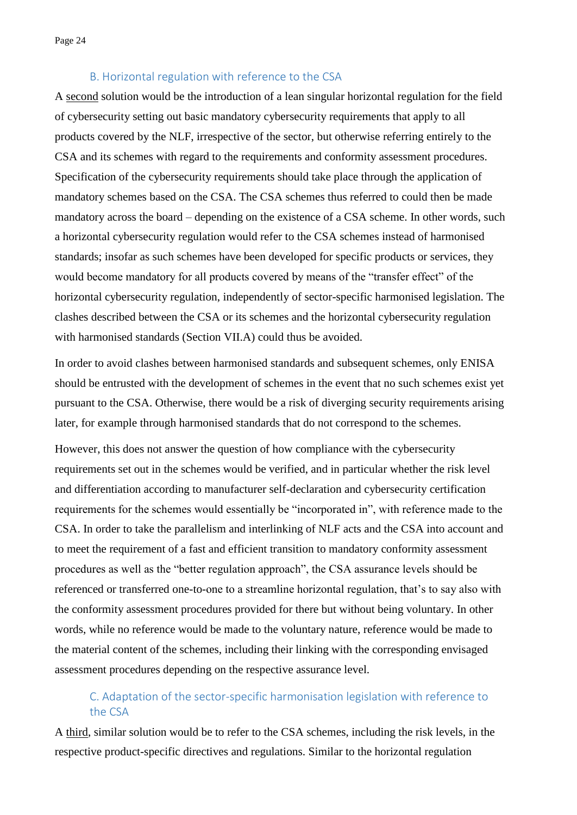#### B. Horizontal regulation with reference to the CSA

A second solution would be the introduction of a lean singular horizontal regulation for the field of cybersecurity setting out basic mandatory cybersecurity requirements that apply to all products covered by the NLF, irrespective of the sector, but otherwise referring entirely to the CSA and its schemes with regard to the requirements and conformity assessment procedures. Specification of the cybersecurity requirements should take place through the application of mandatory schemes based on the CSA. The CSA schemes thus referred to could then be made mandatory across the board – depending on the existence of a CSA scheme. In other words, such a horizontal cybersecurity regulation would refer to the CSA schemes instead of harmonised standards; insofar as such schemes have been developed for specific products or services, they would become mandatory for all products covered by means of the "transfer effect" of the horizontal cybersecurity regulation, independently of sector-specific harmonised legislation. The clashes described between the CSA or its schemes and the horizontal cybersecurity regulation with harmonised standards (Section VII.A) could thus be avoided.

In order to avoid clashes between harmonised standards and subsequent schemes, only ENISA should be entrusted with the development of schemes in the event that no such schemes exist yet pursuant to the CSA. Otherwise, there would be a risk of diverging security requirements arising later, for example through harmonised standards that do not correspond to the schemes.

However, this does not answer the question of how compliance with the cybersecurity requirements set out in the schemes would be verified, and in particular whether the risk level and differentiation according to manufacturer self-declaration and cybersecurity certification requirements for the schemes would essentially be "incorporated in", with reference made to the CSA. In order to take the parallelism and interlinking of NLF acts and the CSA into account and to meet the requirement of a fast and efficient transition to mandatory conformity assessment procedures as well as the "better regulation approach", the CSA assurance levels should be referenced or transferred one-to-one to a streamline horizontal regulation, that's to say also with the conformity assessment procedures provided for there but without being voluntary. In other words, while no reference would be made to the voluntary nature, reference would be made to the material content of the schemes, including their linking with the corresponding envisaged assessment procedures depending on the respective assurance level.

## C. Adaptation of the sector-specific harmonisation legislation with reference to the CSA

A third, similar solution would be to refer to the CSA schemes, including the risk levels, in the respective product-specific directives and regulations. Similar to the horizontal regulation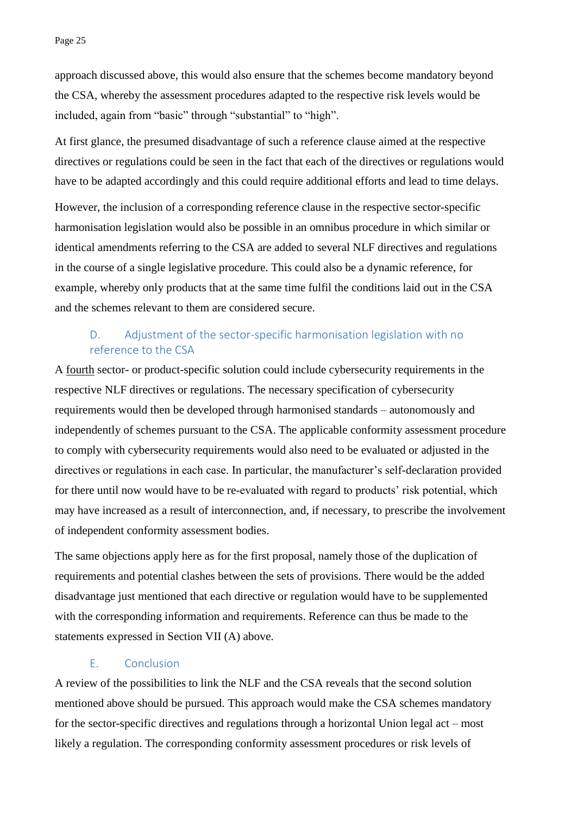approach discussed above, this would also ensure that the schemes become mandatory beyond the CSA, whereby the assessment procedures adapted to the respective risk levels would be included, again from "basic" through "substantial" to "high".

At first glance, the presumed disadvantage of such a reference clause aimed at the respective directives or regulations could be seen in the fact that each of the directives or regulations would have to be adapted accordingly and this could require additional efforts and lead to time delays.

However, the inclusion of a corresponding reference clause in the respective sector-specific harmonisation legislation would also be possible in an omnibus procedure in which similar or identical amendments referring to the CSA are added to several NLF directives and regulations in the course of a single legislative procedure. This could also be a dynamic reference, for example, whereby only products that at the same time fulfil the conditions laid out in the CSA and the schemes relevant to them are considered secure.

## D. Adjustment of the sector-specific harmonisation legislation with no reference to the CSA

A fourth sector- or product-specific solution could include cybersecurity requirements in the respective NLF directives or regulations. The necessary specification of cybersecurity requirements would then be developed through harmonised standards – autonomously and independently of schemes pursuant to the CSA. The applicable conformity assessment procedure to comply with cybersecurity requirements would also need to be evaluated or adjusted in the directives or regulations in each case. In particular, the manufacturer's self-declaration provided for there until now would have to be re-evaluated with regard to products' risk potential, which may have increased as a result of interconnection, and, if necessary, to prescribe the involvement of independent conformity assessment bodies.

The same objections apply here as for the first proposal, namely those of the duplication of requirements and potential clashes between the sets of provisions. There would be the added disadvantage just mentioned that each directive or regulation would have to be supplemented with the corresponding information and requirements. Reference can thus be made to the statements expressed in Section VII (A) above.

#### E. Conclusion

A review of the possibilities to link the NLF and the CSA reveals that the second solution mentioned above should be pursued. This approach would make the CSA schemes mandatory for the sector-specific directives and regulations through a horizontal Union legal act – most likely a regulation. The corresponding conformity assessment procedures or risk levels of